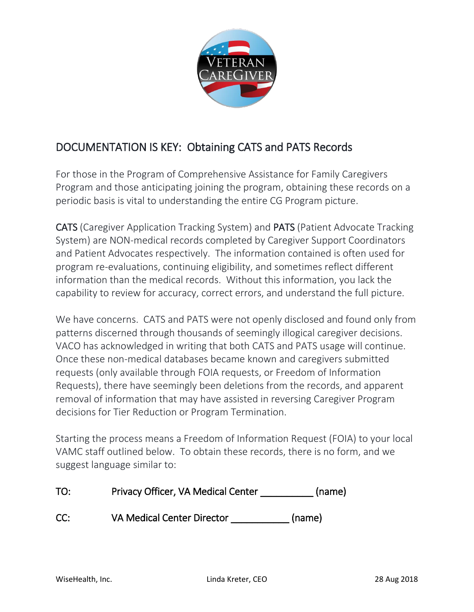

## DOCUMENTATION IS KEY: Obtaining CATS and PATS Records

For those in the Program of Comprehensive Assistance for Family Caregivers Program and those anticipating joining the program, obtaining these records on a periodic basis is vital to understanding the entire CG Program picture.

CATS (Caregiver Application Tracking System) and PATS (Patient Advocate Tracking System) are NON-medical records completed by Caregiver Support Coordinators and Patient Advocates respectively. The information contained is often used for program re-evaluations, continuing eligibility, and sometimes reflect different information than the medical records. Without this information, you lack the capability to review for accuracy, correct errors, and understand the full picture.

We have concerns. CATS and PATS were not openly disclosed and found only from patterns discerned through thousands of seemingly illogical caregiver decisions. VACO has acknowledged in writing that both CATS and PATS usage will continue. Once these non-medical databases became known and caregivers submitted requests (only available through FOIA requests, or Freedom of Information Requests), there have seemingly been deletions from the records, and apparent removal of information that may have assisted in reversing Caregiver Program decisions for Tier Reduction or Program Termination.

Starting the process means a Freedom of Information Request (FOIA) to your local VAMC staff outlined below. To obtain these records, there is no form, and we suggest language similar to:

| TO: | Privacy Officer, VA Medical Center | (name) |
|-----|------------------------------------|--------|
| CC: | <b>VA Medical Center Director</b>  | (name) |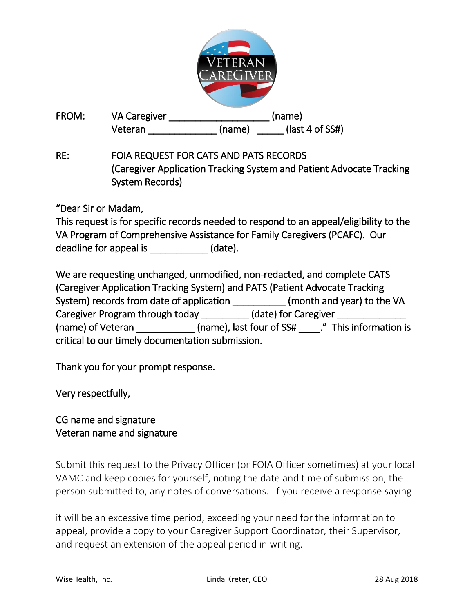

FROM: VA Caregiver and the control of the control of the control of the control of the control of the control of the control of the control of the control of the control of the control of the control of the control of the Veteran (name) (last 4 of SS#)

RE: FOIA REQUEST FOR CATS AND PATS RECORDS (Caregiver Application Tracking System and Patient Advocate Tracking System Records)

"Dear Sir or Madam,

|                        |         | This request is for specific records needed to respond to an appeal/eligibility to the |
|------------------------|---------|----------------------------------------------------------------------------------------|
|                        |         | VA Program of Comprehensive Assistance for Family Caregivers (PCAFC). Our              |
| deadline for appeal is | (date). |                                                                                        |

We are requesting unchanged, unmodified, non-redacted, and complete CATS (Caregiver Application Tracking System) and PATS (Patient Advocate Tracking System) records from date of application \_\_\_\_\_\_\_\_\_\_\_\_ (month and year) to the VA Caregiver Program through today \_\_\_\_\_\_\_\_\_\_\_ (date) for Caregiver (name) of Veteran (name), last four of SS# ." This information is critical to our timely documentation submission.

Thank you for your prompt response.

Very respectfully,

## CG name and signature Veteran name and signature

Submit this request to the Privacy Officer (or FOIA Officer sometimes) at your local VAMC and keep copies for yourself, noting the date and time of submission, the person submitted to, any notes of conversations. If you receive a response saying

it will be an excessive time period, exceeding your need for the information to appeal, provide a copy to your Caregiver Support Coordinator, their Supervisor, and request an extension of the appeal period in writing.